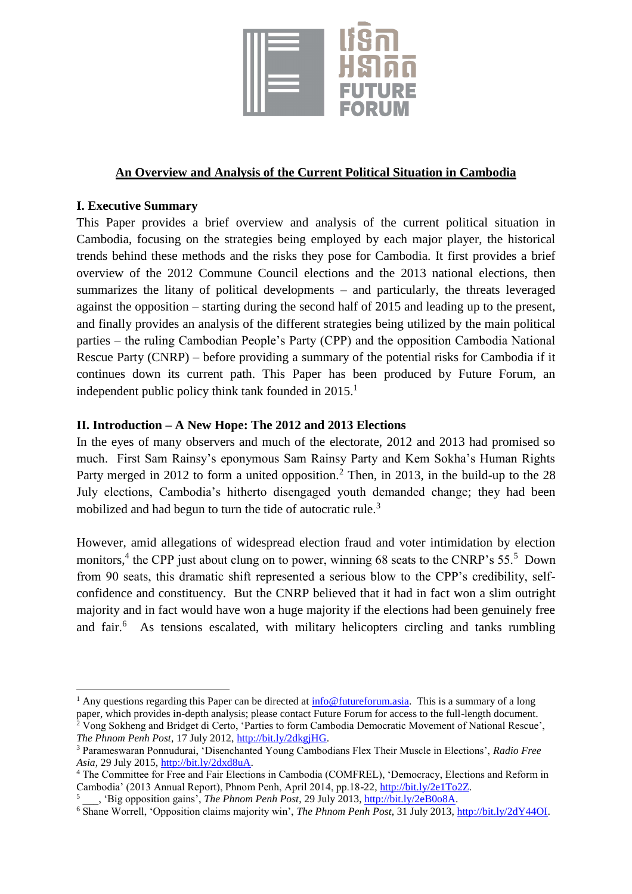

# **An Overview and Analysis of the Current Political Situation in Cambodia**

## **I. Executive Summary**

This Paper provides a brief overview and analysis of the current political situation in Cambodia, focusing on the strategies being employed by each major player, the historical trends behind these methods and the risks they pose for Cambodia. It first provides a brief overview of the 2012 Commune Council elections and the 2013 national elections, then summarizes the litany of political developments – and particularly, the threats leveraged against the opposition – starting during the second half of 2015 and leading up to the present, and finally provides an analysis of the different strategies being utilized by the main political parties – the ruling Cambodian People's Party (CPP) and the opposition Cambodia National Rescue Party (CNRP) – before providing a summary of the potential risks for Cambodia if it continues down its current path. This Paper has been produced by Future Forum, an independent public policy think tank founded in  $2015<sup>1</sup>$ 

## **II. Introduction – A New Hope: The 2012 and 2013 Elections**

In the eyes of many observers and much of the electorate, 2012 and 2013 had promised so much. First Sam Rainsy's eponymous Sam Rainsy Party and Kem Sokha's Human Rights Party merged in 2012 to form a united opposition.<sup>2</sup> Then, in 2013, in the build-up to the 28 July elections, Cambodia's hitherto disengaged youth demanded change; they had been mobilized and had begun to turn the tide of autocratic rule.<sup>3</sup>

However, amid allegations of widespread election fraud and voter intimidation by election monitors,<sup>4</sup> the CPP just about clung on to power, winning 68 seats to the CNRP's 55.<sup>5</sup> Down from 90 seats, this dramatic shift represented a serious blow to the CPP's credibility, selfconfidence and constituency. But the CNRP believed that it had in fact won a slim outright majority and in fact would have won a huge majority if the elections had been genuinely free and fair.<sup>6</sup> As tensions escalated, with military helicopters circling and tanks rumbling

<sup>&</sup>lt;sup>1</sup> Any questions regarding this Paper can be directed at  $\frac{info@futureformula}$ . This is a summary of a long paper, which provides in-depth analysis; please contact Future Forum for access to the full-length document. <sup>2</sup> Vong Sokheng and Bridget di Certo, 'Parties to form Cambodia Democratic Movement of National Rescue', *The Phnom Penh Post*, 17 July 2012, [http://bit.ly/2dkgjHG.](http://bit.ly/2dkgjHG)

<sup>3</sup> Parameswaran Ponnudurai, 'Disenchanted Young Cambodians Flex Their Muscle in Elections', *Radio Free Asia*, 29 July 2015, [http://bit.ly/2dxd8uA.](http://bit.ly/2dxd8uA)

<sup>4</sup> The Committee for Free and Fair Elections in Cambodia (COMFREL), 'Democracy, Elections and Reform in Cambodia' (2013 Annual Report), Phnom Penh, April 2014, pp.18-22[, http://bit.ly/2e1To2Z.](http://bit.ly/2e1To2Z)

<sup>5</sup> \_\_\_, 'Big opposition gains', *The Phnom Penh Post*, 29 July 2013, [http://bit.ly/2eB0o8A.](http://bit.ly/2eB0o8A)

<sup>6</sup> Shane Worrell, 'Opposition claims majority win', *The Phnom Penh Post*, 31 July 2013, [http://bit.ly/2dY44OI.](http://bit.ly/2dY44OI)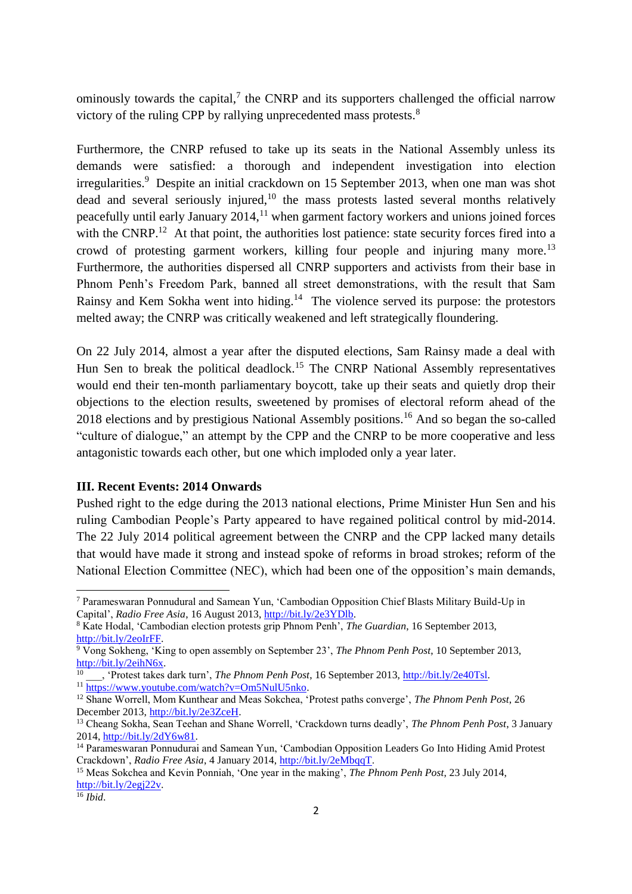ominously towards the capital, $^7$  the CNRP and its supporters challenged the official narrow victory of the ruling CPP by rallying unprecedented mass protests.<sup>8</sup>

Furthermore, the CNRP refused to take up its seats in the National Assembly unless its demands were satisfied: a thorough and independent investigation into election irregularities.<sup>9</sup> Despite an initial crackdown on 15 September 2013, when one man was shot dead and several seriously injured, $10$  the mass protests lasted several months relatively peacefully until early January  $2014$ ,  $^{11}$  when garment factory workers and unions joined forces with the CNRP.<sup>12</sup> At that point, the authorities lost patience: state security forces fired into a crowd of protesting garment workers, killing four people and injuring many more.<sup>13</sup> Furthermore, the authorities dispersed all CNRP supporters and activists from their base in Phnom Penh's Freedom Park, banned all street demonstrations, with the result that Sam Rainsy and Kem Sokha went into hiding.<sup>14</sup> The violence served its purpose: the protestors melted away; the CNRP was critically weakened and left strategically floundering.

On 22 July 2014, almost a year after the disputed elections, Sam Rainsy made a deal with Hun Sen to break the political deadlock.<sup>15</sup> The CNRP National Assembly representatives would end their ten-month parliamentary boycott, take up their seats and quietly drop their objections to the election results, sweetened by promises of electoral reform ahead of the 2018 elections and by prestigious National Assembly positions.<sup>16</sup> And so began the so-called "culture of dialogue," an attempt by the CPP and the CNRP to be more cooperative and less antagonistic towards each other, but one which imploded only a year later.

### **III. Recent Events: 2014 Onwards**

Pushed right to the edge during the 2013 national elections, Prime Minister Hun Sen and his ruling Cambodian People's Party appeared to have regained political control by mid-2014. The 22 July 2014 political agreement between the CNRP and the CPP lacked many details that would have made it strong and instead spoke of reforms in broad strokes; reform of the National Election Committee (NEC), which had been one of the opposition's main demands,

<sup>7</sup> Parameswaran Ponnudural and Samean Yun, 'Cambodian Opposition Chief Blasts Military Build-Up in Capital', *Radio Free Asia*, 16 August 2013[, http://bit.ly/2e3YDlb.](http://bit.ly/2e3YDlb)

<sup>8</sup> Kate Hodal, 'Cambodian election protests grip Phnom Penh', *The Guardian*, 16 September 2013, [http://bit.ly/2eoIrFF.](http://bit.ly/2eoIrFF)

<sup>9</sup> Vong Sokheng, 'King to open assembly on September 23', *The Phnom Penh Post*, 10 September 2013, [http://bit.ly/2eihN6x.](http://bit.ly/2eihN6x)

<sup>&</sup>lt;sup>10</sup>, 'Protest takes dark turn', *The Phnom Penh Post*, 16 September 2013, [http://bit.ly/2e40Tsl.](http://bit.ly/2e40Tsl) <sup>11</sup> [https://www.youtube.com/watch?v=Om5NulU5nko.](https://www.youtube.com/watch?v=Om5NulU5nko)

<sup>12</sup> Shane Worrell, Mom Kunthear and Meas Sokchea, 'Protest paths converge', *The Phnom Penh Post*, 26 December 2013[, http://bit.ly/2e3ZceH.](http://bit.ly/2e3ZceH)

<sup>13</sup> Cheang Sokha, Sean Teehan and Shane Worrell, 'Crackdown turns deadly', *The Phnom Penh Post*, 3 January 2014, [http://bit.ly/2dY6w81.](http://bit.ly/2dY6w81)

<sup>&</sup>lt;sup>14</sup> Parameswaran Ponnudurai and Samean Yun, 'Cambodian Opposition Leaders Go Into Hiding Amid Protest Crackdown', *Radio Free Asia*, 4 January 2014, [http://bit.ly/2eMbqqT.](http://bit.ly/2eMbqqT)

<sup>15</sup> Meas Sokchea and Kevin Ponniah, 'One year in the making', *The Phnom Penh Post*, 23 July 2014, [http://bit.ly/2egj22v.](http://bit.ly/2egj22v)

 $\overline{^{16}}$  *Ibid.*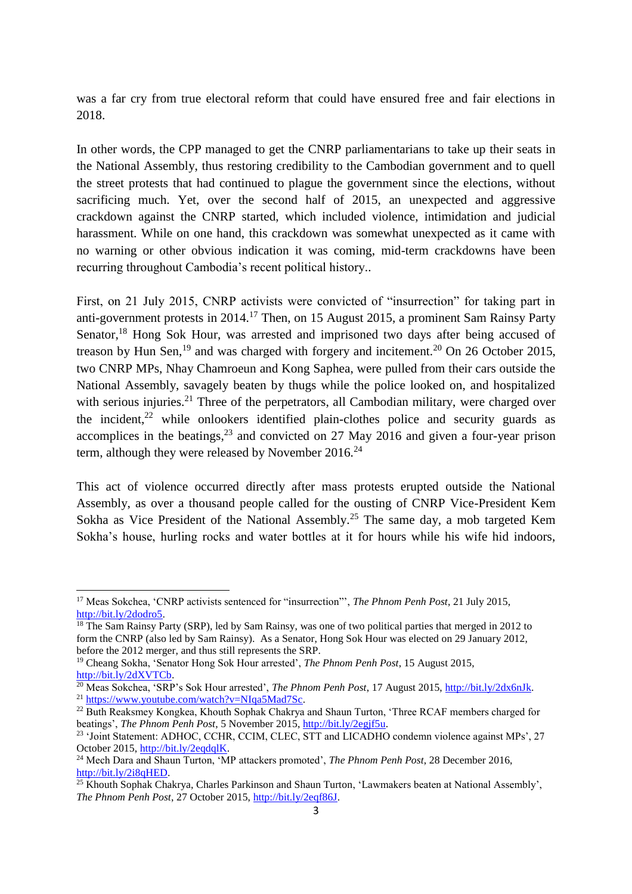was a far cry from true electoral reform that could have ensured free and fair elections in 2018.

In other words, the CPP managed to get the CNRP parliamentarians to take up their seats in the National Assembly, thus restoring credibility to the Cambodian government and to quell the street protests that had continued to plague the government since the elections, without sacrificing much. Yet, over the second half of 2015, an unexpected and aggressive crackdown against the CNRP started, which included violence, intimidation and judicial harassment. While on one hand, this crackdown was somewhat unexpected as it came with no warning or other obvious indication it was coming, mid-term crackdowns have been recurring throughout Cambodia's recent political history..

First, on 21 July 2015, CNRP activists were convicted of "insurrection" for taking part in anti-government protests in 2014.<sup>17</sup> Then, on 15 August 2015, a prominent Sam Rainsy Party Senator,<sup>18</sup> Hong Sok Hour, was arrested and imprisoned two days after being accused of treason by Hun Sen,<sup>19</sup> and was charged with forgery and incitement.<sup>20</sup> On 26 October 2015, two CNRP MPs, Nhay Chamroeun and Kong Saphea, were pulled from their cars outside the National Assembly, savagely beaten by thugs while the police looked on, and hospitalized with serious injuries.<sup>21</sup> Three of the perpetrators, all Cambodian military, were charged over the incident, $22$  while onlookers identified plain-clothes police and security guards as accomplices in the beatings, $^{23}$  and convicted on 27 May 2016 and given a four-year prison term, although they were released by November  $2016.<sup>24</sup>$ 

This act of violence occurred directly after mass protests erupted outside the National Assembly, as over a thousand people called for the ousting of CNRP Vice-President Kem Sokha as Vice President of the National Assembly.<sup>25</sup> The same day, a mob targeted Kem Sokha's house, hurling rocks and water bottles at it for hours while his wife hid indoors,

<sup>17</sup> Meas Sokchea, 'CNRP activists sentenced for "insurrection"', *The Phnom Penh Post*, 21 July 2015, [http://bit.ly/2dodro5.](http://bit.ly/2dodro5)

 $18$  The Sam Rainsy Party (SRP), led by Sam Rainsy, was one of two political parties that merged in 2012 to form the CNRP (also led by Sam Rainsy). As a Senator, Hong Sok Hour was elected on 29 January 2012, before the 2012 merger, and thus still represents the SRP.

<sup>19</sup> Cheang Sokha, 'Senator Hong Sok Hour arrested', *The Phnom Penh Post*, 15 August 2015, [http://bit.ly/2dXVTCb.](http://bit.ly/2dXVTCb)

<sup>&</sup>lt;sup>20</sup> Meas Sokchea, 'SRP's Sok Hour arrested', *The Phnom Penh Post*, 17 August 2015, http://bit.ly/2dx6nJk. <sup>21</sup> [https://www.youtube.com/watch?v=NIqa5Mad7Sc.](https://www.youtube.com/watch?v=NIqa5Mad7Sc)

<sup>&</sup>lt;sup>22</sup> Buth Reaksmey Kongkea, Khouth Sophak Chakrya and Shaun Turton, 'Three RCAF members charged for beatings', *The Phnom Penh Post*, 5 November 2015, [http://bit.ly/2egjf5u.](http://bit.ly/2egjf5u)

<sup>&</sup>lt;sup>23</sup> 'Joint Statement: ADHOC, CCHR, CCIM, CLEC, STT and LICADHO condemn violence against MPs', 27 October 2015[, http://bit.ly/2eqdqlK.](http://bit.ly/2eqdqlK)

<sup>24</sup> Mech Dara and Shaun Turton, 'MP attackers promoted', *The Phnom Penh Post*, 28 December 2016, [http://bit.ly/2i8qHED.](http://bit.ly/2i8qHED)

<sup>&</sup>lt;sup>25</sup> Khouth Sophak Chakrya, Charles Parkinson and Shaun Turton, 'Lawmakers beaten at National Assembly', *The Phnom Penh Post*, 27 October 2015, [http://bit.ly/2eqf86J.](http://bit.ly/2eqf86J)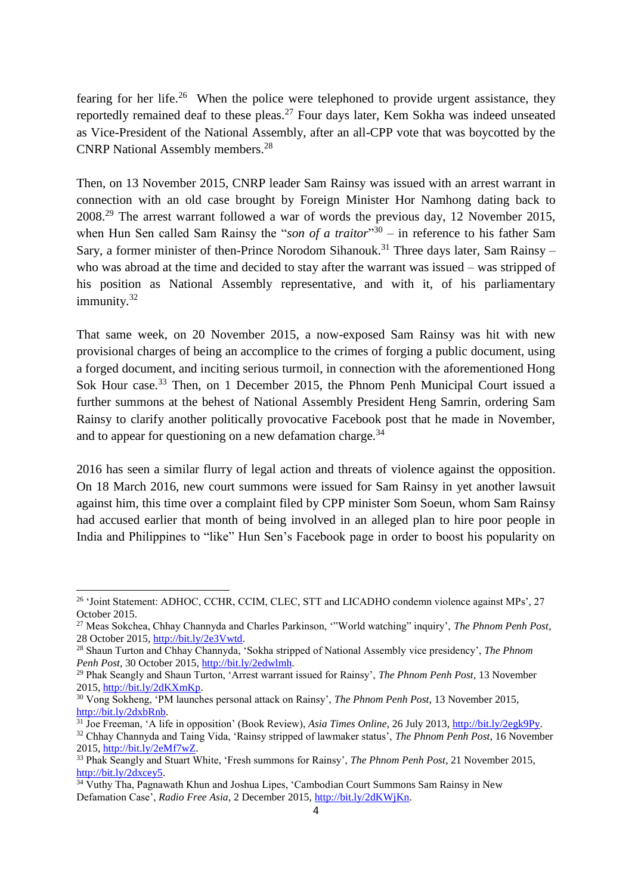fearing for her life.<sup>26</sup> When the police were telephoned to provide urgent assistance, they reportedly remained deaf to these pleas.<sup>27</sup> Four days later, Kem Sokha was indeed unseated as Vice-President of the National Assembly, after an all-CPP vote that was boycotted by the CNRP National Assembly members.<sup>28</sup>

Then, on 13 November 2015, CNRP leader Sam Rainsy was issued with an arrest warrant in connection with an old case brought by Foreign Minister Hor Namhong dating back to 2008.<sup>29</sup> The arrest warrant followed a war of words the previous day, 12 November 2015, when Hun Sen called Sam Rainsy the "*son of a traitor*"<sup>30</sup> – in reference to his father Sam Sary, a former minister of then-Prince Norodom Sihanouk.<sup>31</sup> Three days later, Sam Rainsy – who was abroad at the time and decided to stay after the warrant was issued – was stripped of his position as National Assembly representative, and with it, of his parliamentary immunity.<sup>32</sup>

That same week, on 20 November 2015, a now-exposed Sam Rainsy was hit with new provisional charges of being an accomplice to the crimes of forging a public document, using a forged document, and inciting serious turmoil, in connection with the aforementioned Hong Sok Hour case.<sup>33</sup> Then, on 1 December 2015, the Phnom Penh Municipal Court issued a further summons at the behest of National Assembly President Heng Samrin, ordering Sam Rainsy to clarify another politically provocative Facebook post that he made in November, and to appear for questioning on a new defamation charge. $34$ 

2016 has seen a similar flurry of legal action and threats of violence against the opposition. On 18 March 2016, new court summons were issued for Sam Rainsy in yet another lawsuit against him, this time over a complaint filed by CPP minister Som Soeun, whom Sam Rainsy had accused earlier that month of being involved in an alleged plan to hire poor people in India and Philippines to "like" Hun Sen's Facebook page in order to boost his popularity on

<sup>&</sup>lt;sup>26</sup> 'Joint Statement: ADHOC, CCHR, CCIM, CLEC, STT and LICADHO condemn violence against MPs', 27 October 2015.

<sup>27</sup> Meas Sokchea, Chhay Channyda and Charles Parkinson, '"World watching" inquiry', *The Phnom Penh Post*, 28 October 2015, [http://bit.ly/2e3Vwtd.](http://bit.ly/2e3Vwtd) 

<sup>28</sup> Shaun Turton and Chhay Channyda, 'Sokha stripped of National Assembly vice presidency', *The Phnom*  Penh Post, 30 October 2015, [http://bit.ly/2edwlmh.](http://bit.ly/2edwlmh)

<sup>29</sup> Phak Seangly and Shaun Turton, 'Arrest warrant issued for Rainsy', *The Phnom Penh Post*, 13 November 2015, [http://bit.ly/2dKXmKp.](http://bit.ly/2dKXmKp)

<sup>30</sup> Vong Sokheng, 'PM launches personal attack on Rainsy', *The Phnom Penh Post*, 13 November 2015, [http://bit.ly/2dxbRnb.](http://bit.ly/2dxbRnb)

<sup>31</sup> Joe Freeman, 'A life in opposition' (Book Review), *Asia Times Online*, 26 July 2013, [http://bit.ly/2egk9Py.](http://bit.ly/2egk9Py) 

<sup>32</sup> Chhay Channyda and Taing Vida, 'Rainsy stripped of lawmaker status', *The Phnom Penh Post*, 16 November 2015, [http://bit.ly/2eMf7wZ.](http://bit.ly/2eMf7wZ) 

<sup>33</sup> Phak Seangly and Stuart White, 'Fresh summons for Rainsy', *The Phnom Penh Post*, 21 November 2015, [http://bit.ly/2dxcey5.](http://bit.ly/2dxcey5) 

<sup>&</sup>lt;sup>34</sup> Vuthy Tha, Pagnawath Khun and Joshua Lipes, 'Cambodian Court Summons Sam Rainsy in New Defamation Case', *Radio Free Asia*, 2 December 2015, [http://bit.ly/2dKWjKn.](http://bit.ly/2dKWjKn)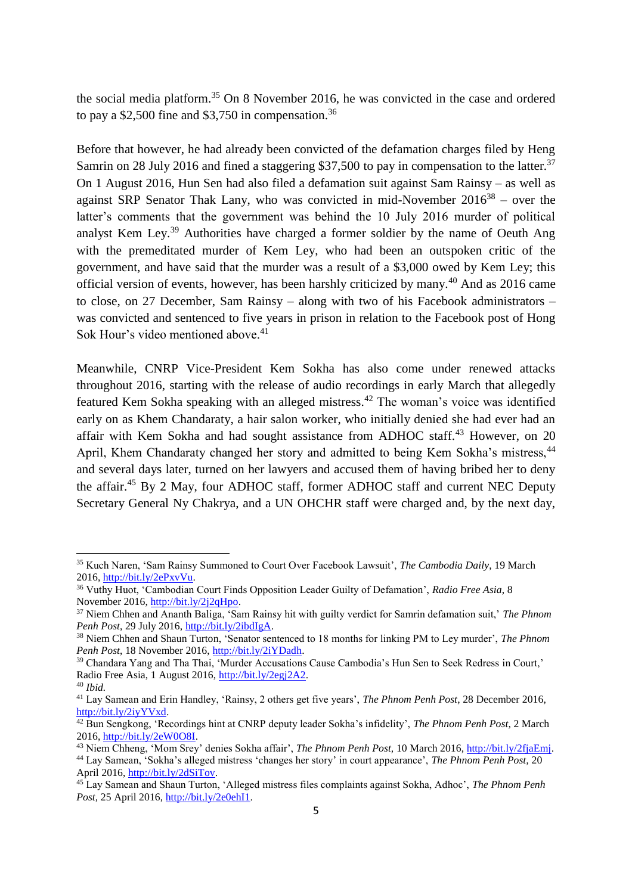the social media platform.<sup>35</sup> On 8 November 2016, he was convicted in the case and ordered to pay a \$2,500 fine and \$3,750 in compensation.<sup>36</sup>

Before that however, he had already been convicted of the defamation charges filed by Heng Samrin on 28 July 2016 and fined a staggering \$37,500 to pay in compensation to the latter.<sup>37</sup> On 1 August 2016, Hun Sen had also filed a defamation suit against Sam Rainsy – as well as against SRP Senator Thak Lany, who was convicted in mid-November  $2016^{38}$  – over the latter's comments that the government was behind the 10 July 2016 murder of political analyst Kem Ley.<sup>39</sup> Authorities have charged a former soldier by the name of Oeuth Ang with the premeditated murder of Kem Ley, who had been an outspoken critic of the government, and have said that the murder was a result of a \$3,000 owed by Kem Ley; this official version of events, however, has been harshly criticized by many.<sup>40</sup> And as 2016 came to close, on 27 December, Sam Rainsy – along with two of his Facebook administrators – was convicted and sentenced to five years in prison in relation to the Facebook post of Hong Sok Hour's video mentioned above.<sup>41</sup>

Meanwhile, CNRP Vice-President Kem Sokha has also come under renewed attacks throughout 2016, starting with the release of audio recordings in early March that allegedly featured Kem Sokha speaking with an alleged mistress.<sup>42</sup> The woman's voice was identified early on as Khem Chandaraty, a hair salon worker, who initially denied she had ever had an affair with Kem Sokha and had sought assistance from ADHOC staff.<sup>43</sup> However, on 20 April, Khem Chandaraty changed her story and admitted to being Kem Sokha's mistress,<sup>44</sup> and several days later, turned on her lawyers and accused them of having bribed her to deny the affair.<sup>45</sup> By 2 May, four ADHOC staff, former ADHOC staff and current NEC Deputy Secretary General Ny Chakrya, and a UN OHCHR staff were charged and, by the next day,

<sup>35</sup> Kuch Naren, 'Sam Rainsy Summoned to Court Over Facebook Lawsuit', *The Cambodia Daily*, 19 March 2016, [http://bit.ly/2ePxvVu.](http://bit.ly/2ePxvVu)

<sup>36</sup> Vuthy Huot, 'Cambodian Court Finds Opposition Leader Guilty of Defamation', *Radio Free Asia*, 8 November 2016[, http://bit.ly/2j2qHpo.](http://bit.ly/2j2qHpo)

<sup>37</sup> Niem Chhen and Ananth Baliga, 'Sam Rainsy hit with guilty verdict for Samrin defamation suit,' *The Phnom*  Penh Post, 29 July 2016, http://bit.ly/2ibdIgA.

<sup>38</sup> Niem Chhen and Shaun Turton, 'Senator sentenced to 18 months for linking PM to Ley murder', *The Phnom*  Penh Post, 18 November 2016, [http://bit.ly/2iYDadh.](http://bit.ly/2iYDadh)

<sup>39</sup> Chandara Yang and Tha Thai, 'Murder Accusations Cause Cambodia's Hun Sen to Seek Redress in Court,' Radio Free Asia, 1 August 2016, [http://bit.ly/2egj2A2.](http://bit.ly/2egj2A2)

<sup>40</sup> *Ibid.* 

<sup>41</sup> Lay Samean and Erin Handley, 'Rainsy, 2 others get five years', *The Phnom Penh Post*, 28 December 2016, [http://bit.ly/2iyYVxd.](http://bit.ly/2iyYVxd)

<sup>&</sup>lt;sup>42</sup> Bun Sengkong, 'Recordings hint at CNRP deputy leader Sokha's infidelity', *The Phnom Penh Post*, 2 March 2016, [http://bit.ly/2eW0O8I.](http://bit.ly/2eW0O8I)

<sup>43</sup> Niem Chheng, 'Mom Srey' denies Sokha affair', *The Phnom Penh Post,* 10 March 2016, [http://bit.ly/2fjaEmj.](http://bit.ly/2fjaEmj)

<sup>44</sup> Lay Samean, 'Sokha's alleged mistress 'changes her story' in court appearance', *The Phnom Penh Post,* 20 April 2016[, http://bit.ly/2dSiTov.](http://bit.ly/2dSiTov)

<sup>45</sup> Lay Samean and Shaun Turton, 'Alleged mistress files complaints against Sokha, Adhoc', *The Phnom Penh Post,* 25 April 2016, [http://bit.ly/2e0ehI1.](http://bit.ly/2e0ehI1)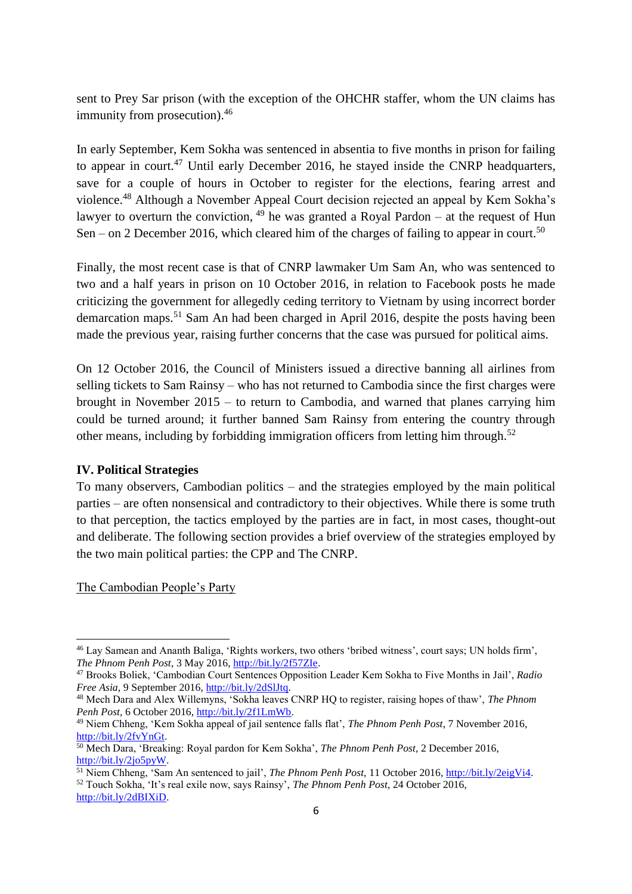sent to Prey Sar prison (with the exception of the OHCHR staffer, whom the UN claims has immunity from prosecution).<sup>46</sup>

In early September, Kem Sokha was sentenced in absentia to five months in prison for failing to appear in court.<sup>47</sup> Until early December 2016, he stayed inside the CNRP headquarters, save for a couple of hours in October to register for the elections, fearing arrest and violence.<sup>48</sup> Although a November Appeal Court decision rejected an appeal by Kem Sokha's lawyer to overturn the conviction,  $49$  he was granted a Royal Pardon – at the request of Hun Sen – on 2 December 2016, which cleared him of the charges of failing to appear in court.<sup>50</sup>

Finally, the most recent case is that of CNRP lawmaker Um Sam An, who was sentenced to two and a half years in prison on 10 October 2016, in relation to Facebook posts he made criticizing the government for allegedly ceding territory to Vietnam by using incorrect border demarcation maps.<sup>51</sup> Sam An had been charged in April 2016, despite the posts having been made the previous year, raising further concerns that the case was pursued for political aims.

On 12 October 2016, the Council of Ministers issued a directive banning all airlines from selling tickets to Sam Rainsy – who has not returned to Cambodia since the first charges were brought in November 2015 – to return to Cambodia, and warned that planes carrying him could be turned around; it further banned Sam Rainsy from entering the country through other means, including by forbidding immigration officers from letting him through.<sup>52</sup>

#### **IV. Political Strategies**

To many observers, Cambodian politics – and the strategies employed by the main political parties – are often nonsensical and contradictory to their objectives. While there is some truth to that perception, the tactics employed by the parties are in fact, in most cases, thought-out and deliberate. The following section provides a brief overview of the strategies employed by the two main political parties: the CPP and The CNRP.

The Cambodian People's Party

<sup>46</sup> Lay Samean and Ananth Baliga, 'Rights workers, two others 'bribed witness', court says; UN holds firm', *The Phnom Penh Post*, 3 May 2016[, http://bit.ly/2f57ZIe.](http://bit.ly/2f57ZIe)

<sup>47</sup> Brooks Boliek, 'Cambodian Court Sentences Opposition Leader Kem Sokha to Five Months in Jail', *Radio Free Asia,* 9 September 2016, [http://bit.ly/2dSlJtq.](http://bit.ly/2dSlJtq)

<sup>48</sup> Mech Dara and Alex Willemyns, 'Sokha leaves CNRP HQ to register, raising hopes of thaw', *The Phnom*  Penh Post, 6 October 2016, [http://bit.ly/2f1LmWb.](http://bit.ly/2f1LmWb)

<sup>49</sup> Niem Chheng, 'Kem Sokha appeal of jail sentence falls flat', *The Phnom Penh Post*, 7 November 2016, [http://bit.ly/2fvYnGt.](http://bit.ly/2fvYnGt)

<sup>50</sup> Mech Dara, 'Breaking: Royal pardon for Kem Sokha', *The Phnom Penh Post,* 2 December 2016, [http://bit.ly/2jo5pyW.](http://bit.ly/2jo5pyW)

<sup>51</sup> Niem Chheng, 'Sam An sentenced to jail', *The Phnom Penh Post,* 11 October 2016, [http://bit.ly/2eigVi4.](http://bit.ly/2eigVi4) <sup>52</sup> Touch Sokha, 'It's real exile now, says Rainsy', *The Phnom Penh Post*, 24 October 2016, [http://bit.ly/2dBIXiD.](http://bit.ly/2dBIXiD)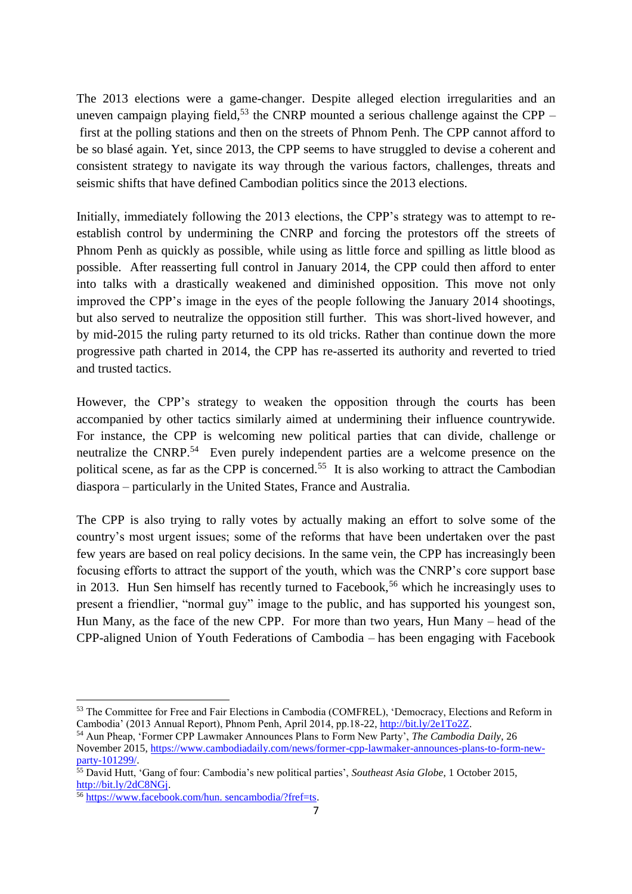The 2013 elections were a game-changer. Despite alleged election irregularities and an uneven campaign playing field,<sup>53</sup> the CNRP mounted a serious challenge against the CPP – first at the polling stations and then on the streets of Phnom Penh. The CPP cannot afford to be so blasé again. Yet, since 2013, the CPP seems to have struggled to devise a coherent and consistent strategy to navigate its way through the various factors, challenges, threats and seismic shifts that have defined Cambodian politics since the 2013 elections.

Initially, immediately following the 2013 elections, the CPP's strategy was to attempt to reestablish control by undermining the CNRP and forcing the protestors off the streets of Phnom Penh as quickly as possible, while using as little force and spilling as little blood as possible. After reasserting full control in January 2014, the CPP could then afford to enter into talks with a drastically weakened and diminished opposition. This move not only improved the CPP's image in the eyes of the people following the January 2014 shootings, but also served to neutralize the opposition still further. This was short-lived however, and by mid-2015 the ruling party returned to its old tricks. Rather than continue down the more progressive path charted in 2014, the CPP has re-asserted its authority and reverted to tried and trusted tactics.

However, the CPP's strategy to weaken the opposition through the courts has been accompanied by other tactics similarly aimed at undermining their influence countrywide. For instance, the CPP is welcoming new political parties that can divide, challenge or neutralize the CNRP.<sup>54</sup> Even purely independent parties are a welcome presence on the political scene, as far as the CPP is concerned.<sup>55</sup> It is also working to attract the Cambodian diaspora – particularly in the United States, France and Australia.

The CPP is also trying to rally votes by actually making an effort to solve some of the country's most urgent issues; some of the reforms that have been undertaken over the past few years are based on real policy decisions. In the same vein, the CPP has increasingly been focusing efforts to attract the support of the youth, which was the CNRP's core support base in 2013. Hun Sen himself has recently turned to Facebook,<sup>56</sup> which he increasingly uses to present a friendlier, "normal guy" image to the public, and has supported his youngest son, Hun Many, as the face of the new CPP. For more than two years, Hun Many – head of the CPP-aligned Union of Youth Federations of Cambodia – has been engaging with Facebook

<sup>53</sup> The Committee for Free and Fair Elections in Cambodia (COMFREL), 'Democracy, Elections and Reform in Cambodia' (2013 Annual Report), Phnom Penh, April 2014, pp.18-22[, http://bit.ly/2e1To2Z.](http://bit.ly/2e1To2Z)

<sup>54</sup> Aun Pheap, 'Former CPP Lawmaker Announces Plans to Form New Party', *The Cambodia Daily*, 26 November 2015[, https://www.cambodiadaily.com/news/former-cpp-lawmaker-announces-plans-to-form-new](https://www.cambodiadaily.com/news/former-cpp-lawmaker-announces-plans-to-form-new-party-101299/)[party-101299/.](https://www.cambodiadaily.com/news/former-cpp-lawmaker-announces-plans-to-form-new-party-101299/)

<sup>55</sup> David Hutt, 'Gang of four: Cambodia's new political parties', *Southeast Asia Globe*, 1 October 2015, [http://bit.ly/2dC8NGj.](http://bit.ly/2dC8NGj)

<sup>56</sup> [https://www.facebook.com/hun. sencambodia/?fref=ts.](https://www.facebook.com/hunsencambodia/?fref=ts)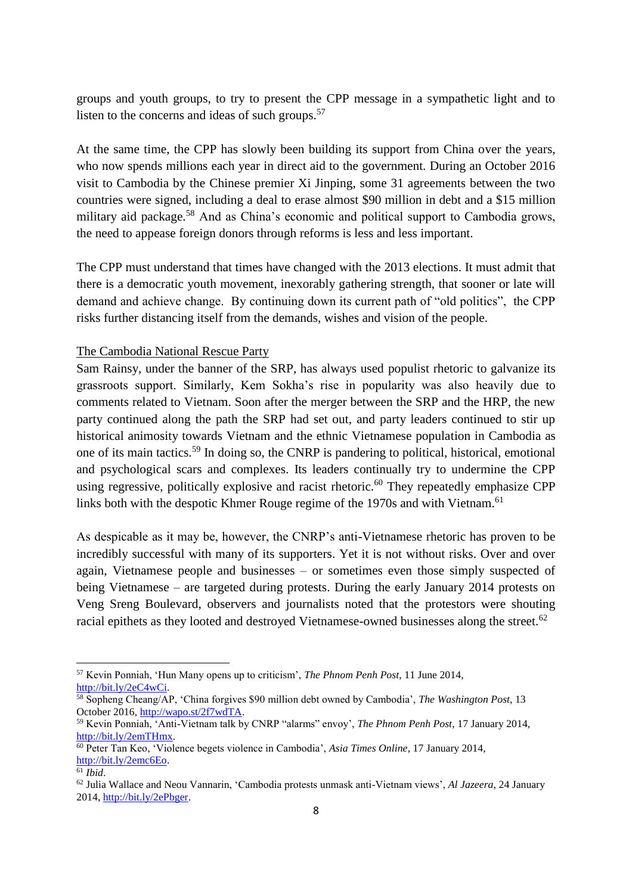groups and youth groups, to try to present the CPP message in a sympathetic light and to listen to the concerns and ideas of such groups.<sup>57</sup>

At the same time, the CPP has slowly been building its support from China over the years, who now spends millions each year in direct aid to the government. During an October 2016 visit to Cambodia by the Chinese premier Xi Jinping, some 31 agreements between the two countries were signed, including a deal to erase almost \$90 million in debt and a \$15 million military aid package.<sup>58</sup> And as China's economic and political support to Cambodia grows, the need to appease foreign donors through reforms is less and less important.

The CPP must understand that times have changed with the 2013 elections. It must admit that there is a democratic youth movement, inexorably gathering strength, that sooner or late will demand and achieve change. By continuing down its current path of "old politics", the CPP risks further distancing itself from the demands, wishes and vision of the people.

#### The Cambodia National Rescue Party

Sam Rainsy, under the banner of the SRP, has always used populist rhetoric to galvanize its grassroots support. Similarly, Kem Sokha's rise in popularity was also heavily due to comments related to Vietnam. Soon after the merger between the SRP and the HRP, the new party continued along the path the SRP had set out, and party leaders continued to stir up historical animosity towards Vietnam and the ethnic Vietnamese population in Cambodia as one of its main tactics.<sup>59</sup> In doing so, the CNRP is pandering to political, historical, emotional and psychological scars and complexes. Its leaders continually try to undermine the CPP using regressive, politically explosive and racist rhetoric.<sup>60</sup> They repeatedly emphasize CPP links both with the despotic Khmer Rouge regime of the 1970s and with Vietnam.<sup>61</sup>

As despicable as it may be, however, the CNRP's anti-Vietnamese rhetoric has proven to be incredibly successful with many of its supporters. Yet it is not without risks. Over and over again, Vietnamese people and businesses – or sometimes even those simply suspected of being Vietnamese – are targeted during protests. During the early January 2014 protests on Veng Sreng Boulevard, observers and journalists noted that the protestors were shouting racial epithets as they looted and destroyed Vietnamese-owned businesses along the street.<sup>62</sup>

<sup>57</sup> Kevin Ponniah, 'Hun Many opens up to criticism', *The Phnom Penh Post*, 11 June 2014, [http://bit.ly/2eC4wCi.](http://bit.ly/2eC4wCi) 

<sup>58</sup> Sopheng Cheang/AP, 'China forgives \$90 million debt owned by Cambodia', *The Washington Post*, 13 October 2016[, http://wapo.st/2f7wdTA.](http://wapo.st/2f7wdTA)

<sup>59</sup> Kevin Ponniah, 'Anti-Vietnam talk by CNRP "alarms" envoy', *The Phnom Penh Post*, 17 January 2014, [http://bit.ly/2emTHmx.](http://bit.ly/2emTHmx)

<sup>60</sup> Peter Tan Keo, 'Violence begets violence in Cambodia', *Asia Times Online*, 17 January 2014, [http://bit.ly/2emc6Eo.](http://bit.ly/2emc6Eo) 

 $61$  *Ibid.* 

<sup>62</sup> Julia Wallace and Neou Vannarin, 'Cambodia protests unmask anti-Vietnam views', *Al Jazeera*, 24 January 2014, [http://bit.ly/2ePbger.](http://bit.ly/2ePbger)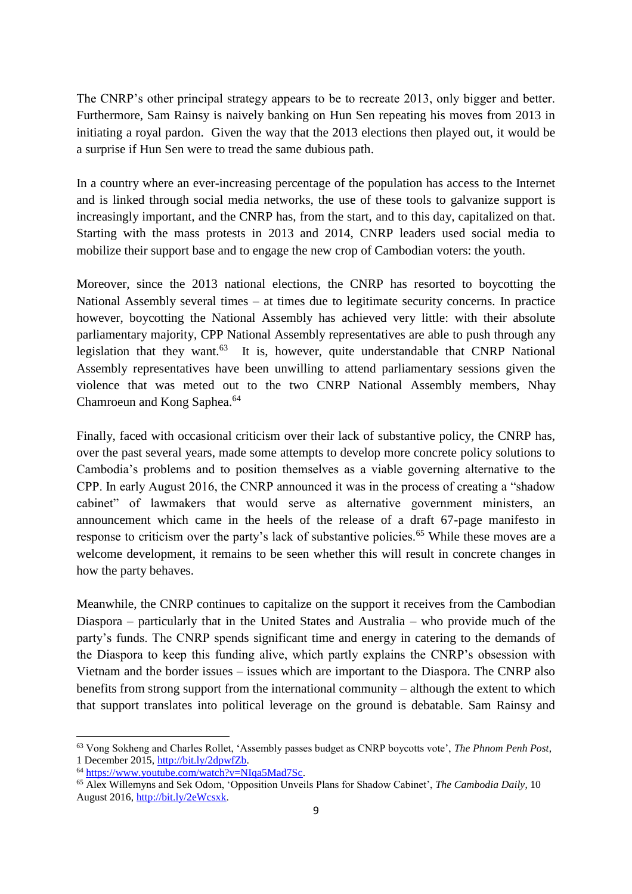The CNRP's other principal strategy appears to be to recreate 2013, only bigger and better. Furthermore, Sam Rainsy is naively banking on Hun Sen repeating his moves from 2013 in initiating a royal pardon. Given the way that the 2013 elections then played out, it would be a surprise if Hun Sen were to tread the same dubious path.

In a country where an ever-increasing percentage of the population has access to the Internet and is linked through social media networks, the use of these tools to galvanize support is increasingly important, and the CNRP has, from the start, and to this day, capitalized on that. Starting with the mass protests in 2013 and 2014, CNRP leaders used social media to mobilize their support base and to engage the new crop of Cambodian voters: the youth.

Moreover, since the 2013 national elections, the CNRP has resorted to boycotting the National Assembly several times – at times due to legitimate security concerns. In practice however, boycotting the National Assembly has achieved very little: with their absolute parliamentary majority, CPP National Assembly representatives are able to push through any legislation that they want.<sup>63</sup> It is, however, quite understandable that CNRP National Assembly representatives have been unwilling to attend parliamentary sessions given the violence that was meted out to the two CNRP National Assembly members, Nhay Chamroeun and Kong Saphea.<sup>64</sup>

Finally, faced with occasional criticism over their lack of substantive policy, the CNRP has, over the past several years, made some attempts to develop more concrete policy solutions to Cambodia's problems and to position themselves as a viable governing alternative to the CPP. In early August 2016, the CNRP announced it was in the process of creating a "shadow cabinet" of lawmakers that would serve as alternative government ministers, an announcement which came in the heels of the release of a draft 67-page manifesto in response to criticism over the party's lack of substantive policies.<sup>65</sup> While these moves are a welcome development, it remains to be seen whether this will result in concrete changes in how the party behaves.

Meanwhile, the CNRP continues to capitalize on the support it receives from the Cambodian Diaspora – particularly that in the United States and Australia – who provide much of the party's funds. The CNRP spends significant time and energy in catering to the demands of the Diaspora to keep this funding alive, which partly explains the CNRP's obsession with Vietnam and the border issues – issues which are important to the Diaspora. The CNRP also benefits from strong support from the international community – although the extent to which that support translates into political leverage on the ground is debatable. Sam Rainsy and

<sup>63</sup> Vong Sokheng and Charles Rollet, 'Assembly passes budget as CNRP boycotts vote', *The Phnom Penh Post*, 1 December 2015, [http://bit.ly/2dpwfZb.](http://bit.ly/2dpwfZb)

<sup>64</sup> [https://www.youtube.com/watch?v=NIqa5Mad7Sc.](https://www.youtube.com/watch?v=NIqa5Mad7Sc)

<sup>65</sup> Alex Willemyns and Sek Odom, 'Opposition Unveils Plans for Shadow Cabinet', *The Cambodia Daily*, 10 August 2016, [http://bit.ly/2eWcsxk.](http://bit.ly/2eWcsxk)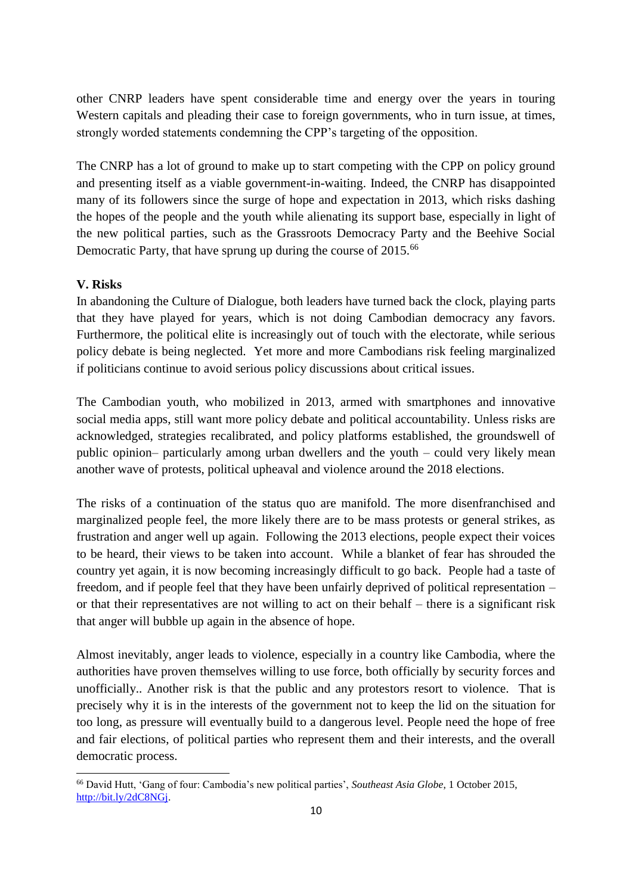other CNRP leaders have spent considerable time and energy over the years in touring Western capitals and pleading their case to foreign governments, who in turn issue, at times, strongly worded statements condemning the CPP's targeting of the opposition.

The CNRP has a lot of ground to make up to start competing with the CPP on policy ground and presenting itself as a viable government-in-waiting. Indeed, the CNRP has disappointed many of its followers since the surge of hope and expectation in 2013, which risks dashing the hopes of the people and the youth while alienating its support base, especially in light of the new political parties, such as the Grassroots Democracy Party and the Beehive Social Democratic Party, that have sprung up during the course of 2015.<sup>66</sup>

### **V. Risks**

 $\overline{a}$ 

In abandoning the Culture of Dialogue, both leaders have turned back the clock, playing parts that they have played for years, which is not doing Cambodian democracy any favors. Furthermore, the political elite is increasingly out of touch with the electorate, while serious policy debate is being neglected. Yet more and more Cambodians risk feeling marginalized if politicians continue to avoid serious policy discussions about critical issues.

The Cambodian youth, who mobilized in 2013, armed with smartphones and innovative social media apps, still want more policy debate and political accountability. Unless risks are acknowledged, strategies recalibrated, and policy platforms established, the groundswell of public opinion– particularly among urban dwellers and the youth – could very likely mean another wave of protests, political upheaval and violence around the 2018 elections.

The risks of a continuation of the status quo are manifold. The more disenfranchised and marginalized people feel, the more likely there are to be mass protests or general strikes, as frustration and anger well up again. Following the 2013 elections, people expect their voices to be heard, their views to be taken into account. While a blanket of fear has shrouded the country yet again, it is now becoming increasingly difficult to go back. People had a taste of freedom, and if people feel that they have been unfairly deprived of political representation – or that their representatives are not willing to act on their behalf – there is a significant risk that anger will bubble up again in the absence of hope.

Almost inevitably, anger leads to violence, especially in a country like Cambodia, where the authorities have proven themselves willing to use force, both officially by security forces and unofficially.. Another risk is that the public and any protestors resort to violence. That is precisely why it is in the interests of the government not to keep the lid on the situation for too long, as pressure will eventually build to a dangerous level. People need the hope of free and fair elections, of political parties who represent them and their interests, and the overall democratic process.

<sup>66</sup> David Hutt, 'Gang of four: Cambodia's new political parties', *Southeast Asia Globe*, 1 October 2015, [http://bit.ly/2dC8NGj.](http://bit.ly/2dC8NGj)